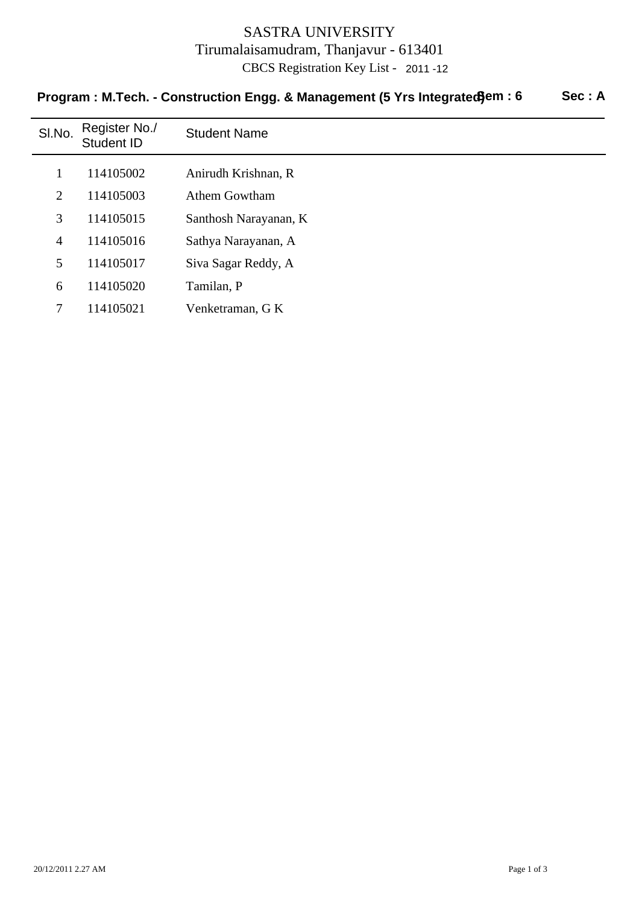## SASTRA UNIVERSITY Tirumalaisamudram, Thanjavur - 613401 CBCS Registration Key List - 2011 -12

| SI.No.         | Register No./<br><b>Student ID</b> | <b>Student Name</b>   |
|----------------|------------------------------------|-----------------------|
|                | 114105002                          | Anirudh Krishnan, R   |
| $\overline{2}$ | 114105003                          | <b>Athem Gowtham</b>  |
| 3              | 114105015                          | Santhosh Narayanan, K |
| $\overline{4}$ | 114105016                          | Sathya Narayanan, A   |
| 5              | 114105017                          | Siva Sagar Reddy, A   |
| 6              | 114105020                          | Tamilan, P            |
| 7              | 114105021                          | Venketraman, G K      |

# **Program : M.Tech. - Construction Engg. & Management (5 Yrs Integrated) em : 6 Sec : A**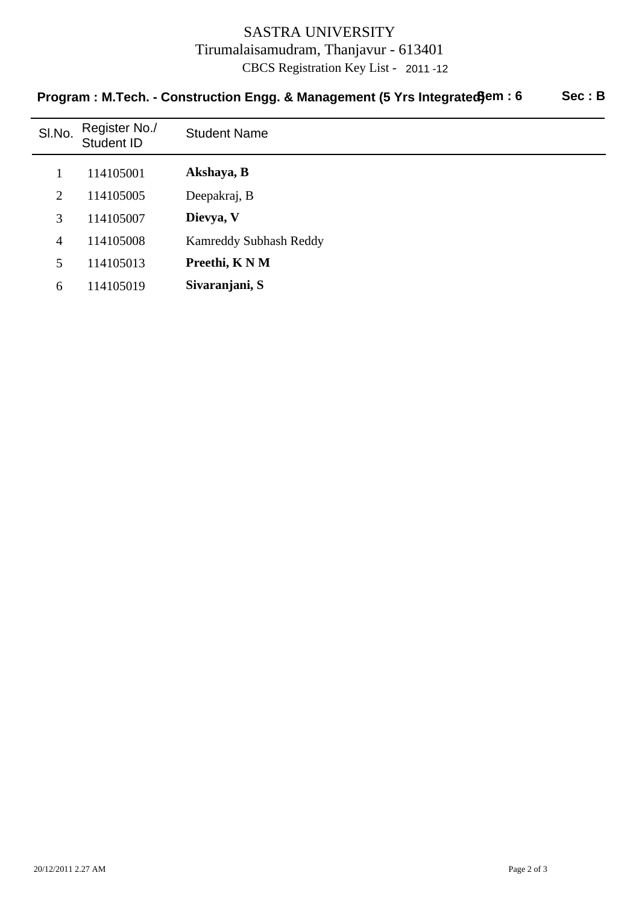#### SASTRA UNIVERSITY Tirumalaisamudram, Thanjavur - 613401 CBCS Registration Key List - 2011 -12

# Sl.No. Register No./ Register No./ Student Name<br>Student ID 1 114105001 **Akshaya, B** 2 Deepakraj, B 114105005 3 114105007 **Dievya, V** 4 Kamreddy Subhash Reddy 114105008 5 114105013 **Preethi, K N M** 6 114105019 **Sivaranjani, S**

## Program : M.Tech. - Construction Engg. & Management (5 Yrs Integrated) em : 6 Sec : B